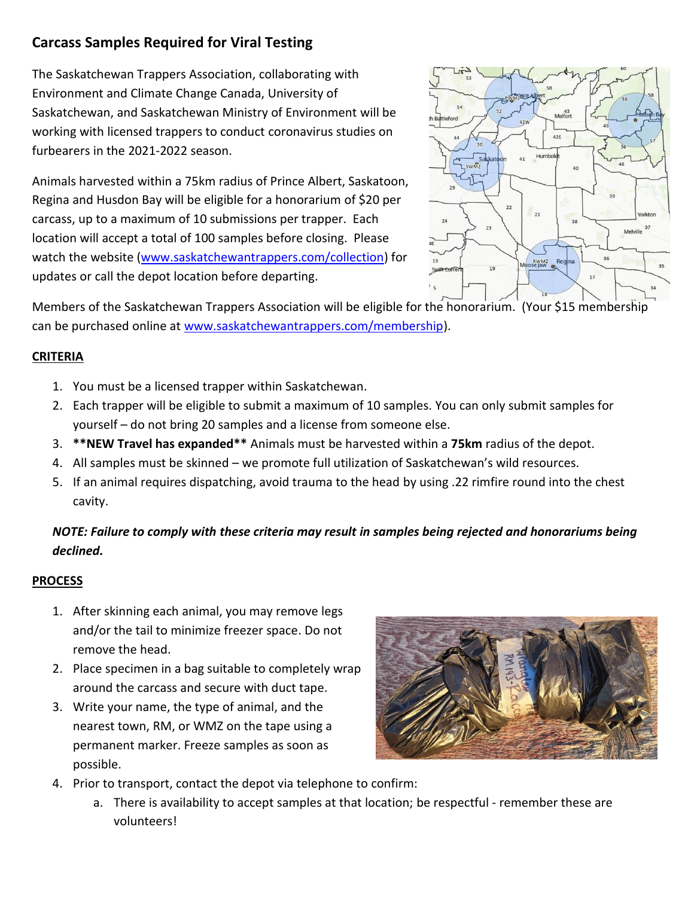## **Carcass Samples Required for Viral Testing**

The Saskatchewan Trappers Association, collaborating with Environment and Climate Change Canada, University of Saskatchewan, and Saskatchewan Ministry of Environment will be working with licensed trappers to conduct coronavirus studies on furbearers in the 2021-2022 season.

Animals harvested within a 75km radius of Prince Albert, Saskatoon, Regina and Husdon Bay will be eligible for a honorarium of \$20 per carcass, up to a maximum of 10 submissions per trapper. Each location will accept a total of 100 samples before closing. Please watch the website [\(www.saskatchewantrappers.com/collection\)](http://www.saskatchewantrappers.com/collection) for updates or call the depot location before departing.



Members of the Saskatchewan Trappers Association will be eligible for the honorarium. (Your \$15 membership can be purchased online at [www.saskatchewantrappers.com/membership\)](http://www.saskatchewantrappers.com/membership).

#### **CRITERIA**

- 1. You must be a licensed trapper within Saskatchewan.
- 2. Each trapper will be eligible to submit a maximum of 10 samples. You can only submit samples for yourself – do not bring 20 samples and a license from someone else.
- 3. **\*\*NEW Travel has expanded\*\*** Animals must be harvested within a **75km** radius of the depot.
- 4. All samples must be skinned we promote full utilization of Saskatchewan's wild resources.
- 5. If an animal requires dispatching, avoid trauma to the head by using .22 rimfire round into the chest cavity.

### *NOTE: Failure to comply with these criteria may result in samples being rejected and honorariums being declined.*

#### **PROCESS**

- 1. After skinning each animal, you may remove legs and/or the tail to minimize freezer space. Do not remove the head.
- 2. Place specimen in a bag suitable to completely wrap around the carcass and secure with duct tape.
- 3. Write your name, the type of animal, and the nearest town, RM, or WMZ on the tape using a permanent marker. Freeze samples as soon as possible.



- 4. Prior to transport, contact the depot via telephone to confirm:
	- a. There is availability to accept samples at that location; be respectful remember these are volunteers!